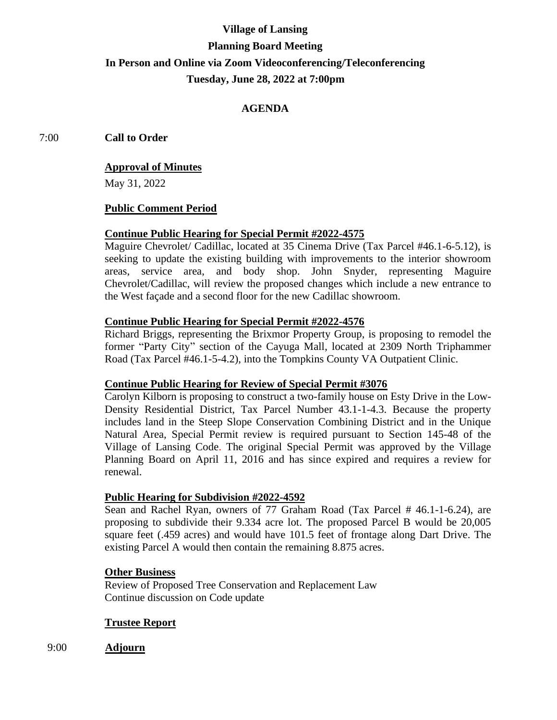# **Village of Lansing Planning Board Meeting In Person and Online via Zoom Videoconferencing/Teleconferencing Tuesday, June 28, 2022 at 7:00pm**

# **AGENDA**

7:00 **Call to Order**

#### **Approval of Minutes**

May 31, 2022

#### **Public Comment Period**

# **Continue Public Hearing for Special Permit #2022-4575**

Maguire Chevrolet/ Cadillac, located at 35 Cinema Drive (Tax Parcel #46.1-6-5.12), is seeking to update the existing building with improvements to the interior showroom areas, service area, and body shop. John Snyder, representing Maguire Chevrolet/Cadillac, will review the proposed changes which include a new entrance to the West façade and a second floor for the new Cadillac showroom.

#### **Continue Public Hearing for Special Permit #2022-4576**

Richard Briggs, representing the Brixmor Property Group, is proposing to remodel the former "Party City" section of the Cayuga Mall, located at 2309 North Triphammer Road (Tax Parcel #46.1-5-4.2), into the Tompkins County VA Outpatient Clinic.

#### **Continue Public Hearing for Review of Special Permit #3076**

Carolyn Kilborn is proposing to construct a two-family house on Esty Drive in the Low-Density Residential District, Tax Parcel Number 43.1-1-4.3. Because the property includes land in the Steep Slope Conservation Combining District and in the Unique Natural Area, Special Permit review is required pursuant to Section 145-48 of the Village of Lansing Code. The original Special Permit was approved by the Village Planning Board on April 11, 2016 and has since expired and requires a review for renewal.

## **Public Hearing for Subdivision #2022-4592**

Sean and Rachel Ryan, owners of 77 Graham Road (Tax Parcel # 46.1-1-6.24), are proposing to subdivide their 9.334 acre lot. The proposed Parcel B would be 20,005 square feet (.459 acres) and would have 101.5 feet of frontage along Dart Drive. The existing Parcel A would then contain the remaining 8.875 acres.

#### **Other Business**

Review of Proposed Tree Conservation and Replacement Law Continue discussion on Code update

## **Trustee Report**

9:00 **Adjourn**